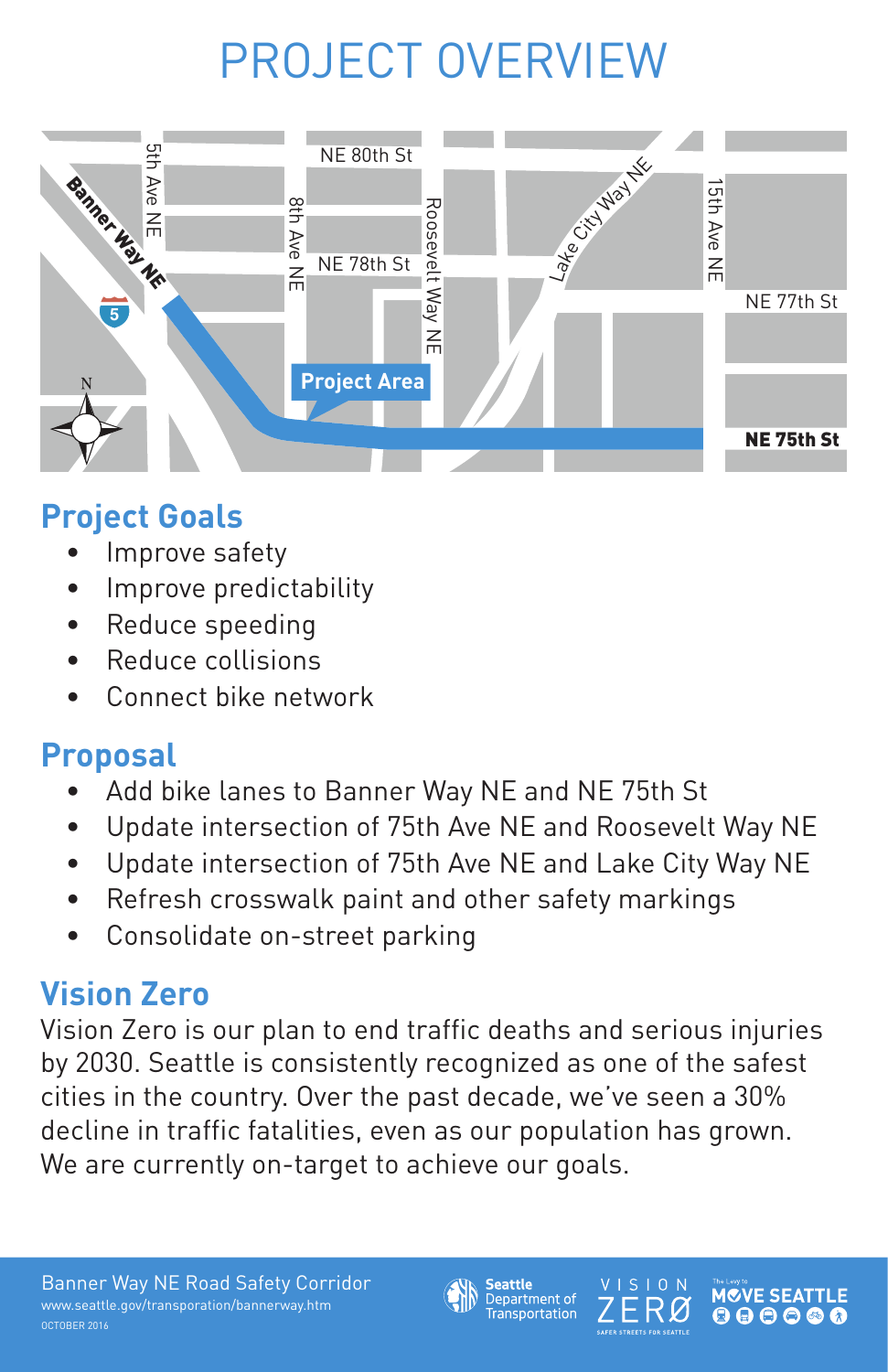



The Levy to **MCVE SEAT**  $\mathbf{O} \oplus \mathbf{O} \oplus \mathbf{A}$ 

**SAFER STREETS FOR SEATTLE** 

## PROJECT OVERVIEW

- Improve safety
- Improve predictability
- Reduce speeding
- Reduce collisions
- Connect bike network

#### **Project Goals**

### **Proposal**

- Add bike lanes to Banner Way NE and NE 75th St
- Update intersection of 75th Ave NE and Roosevelt Way NE
- Update intersection of 75th Ave NE and Lake City Way NE
- Refresh crosswalk paint and other safety markings
- Consolidate on-street parking

Vision Zero is our plan to end traffic deaths and serious injuries by 2030. Seattle is consistently recognized as one of the safest cities in the country. Over the past decade, we've seen a 30% decline in traffic fatalities, even as our population has grown. We are currently on-target to achieve our goals.

#### **Vision Zero**

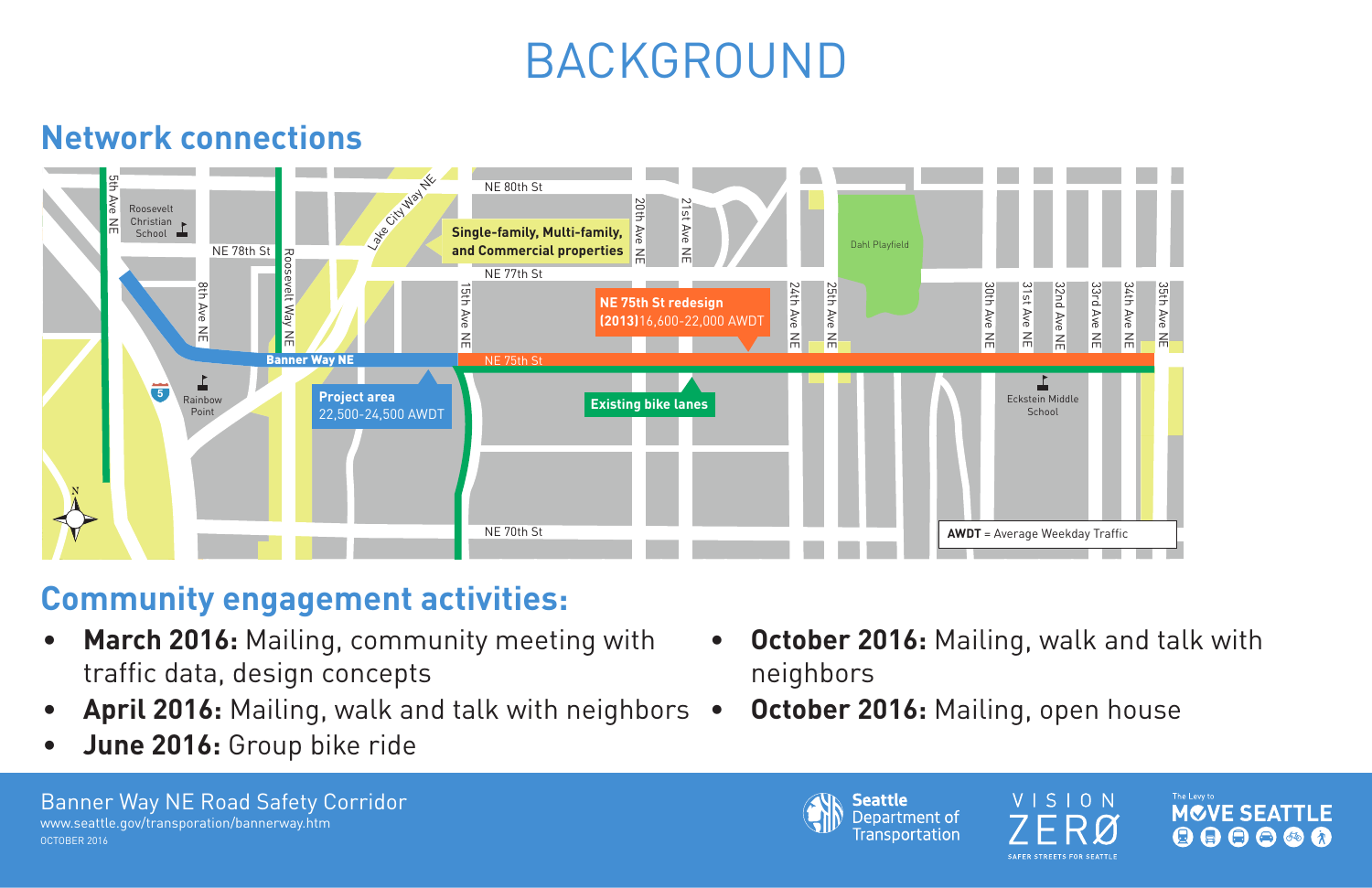## BACKGROUND



**Seattle** Department of **Transportation** 

VISION

ZERØ

The Levy to

**MOVE SEATTLE** 

 $\begin{array}{c} \textcircled{\color{blue}0} \textcircled{\color{blue}0} \textcircled{\color{blue}0} \textcircled{\color{blue}0} \textcircled{\color{blue}0} \end{array}$ 

- **• March 2016:** Mailing, community meeting with traffic data, design concepts **• October 2016:** Mailing, walk and talk with neighbors
- **• April 2016:** Mailing, walk and talk with neighbors **• October 2016:** Mailing, open house
- **• June 2016:** Group bike ride



### **Community engagement activities:**

### **Network connections**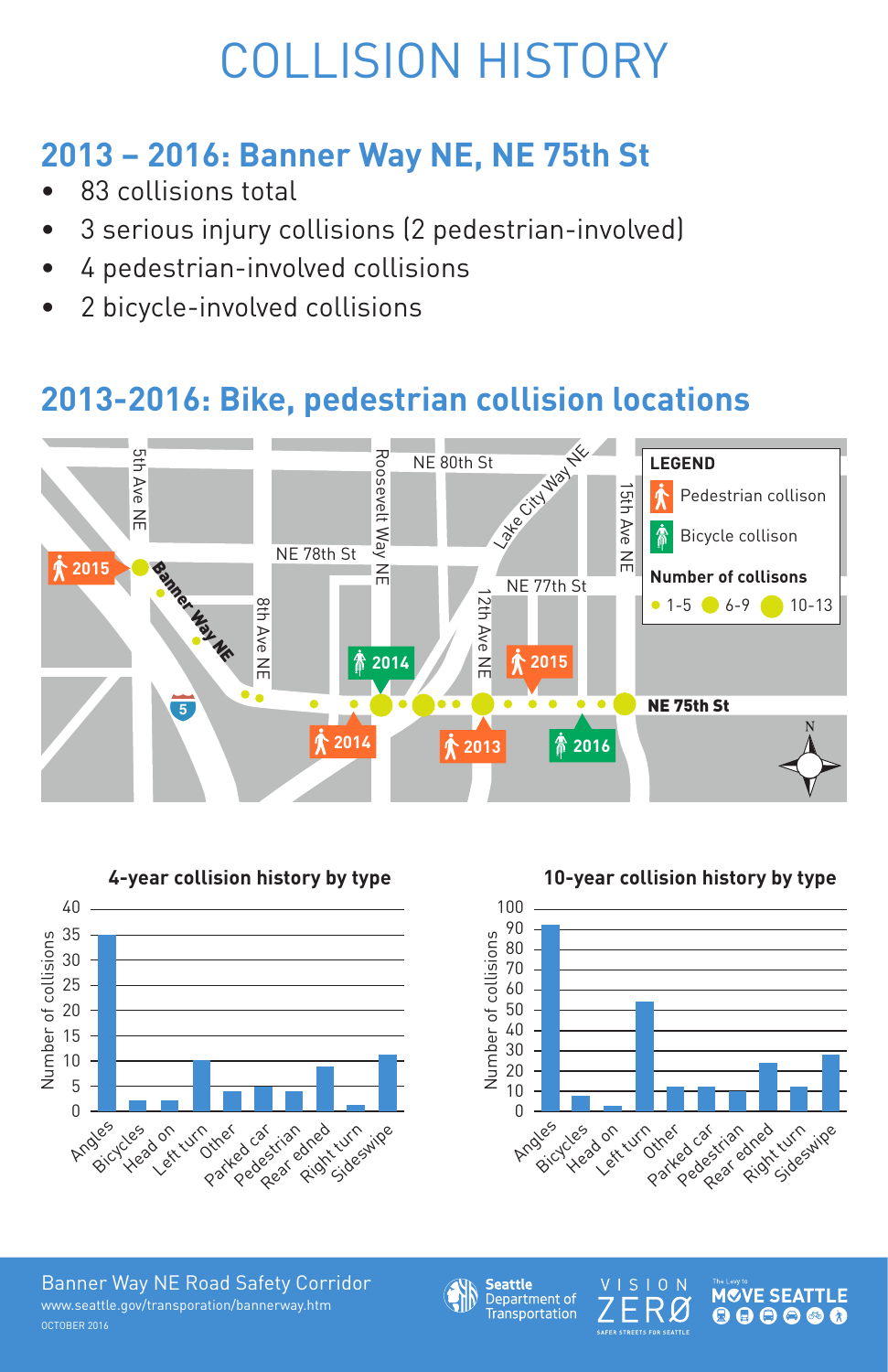



The Levy to **MCVE SEATTLE**  $\begin{array}{c} \textcircled{\hspace{1em}} \textcircled{\hspace{1em}} \textcircled{\hspace{1em}} \textcircled{\hspace{1em}} \textcircled{\hspace{1em}} \textcircled{\hspace{1em}} \textcircled{\hspace{1em}} \textcircled{\hspace{1em}} \end{array}$  $\bigoplus$ 

SAFER STREETS FOR SEATTLE

## COLLISION HISTORY

### **2013 – 2016: Banner Way NE, NE 75th St**

- 83 collisions total
- 3 serious injury collisions (2 pedestrian-involved)
- 4 pedestrian-involved collisions
- 2 bicycle-involved collisions

#### **2013-2016: Bike, pedestrian collision locations**





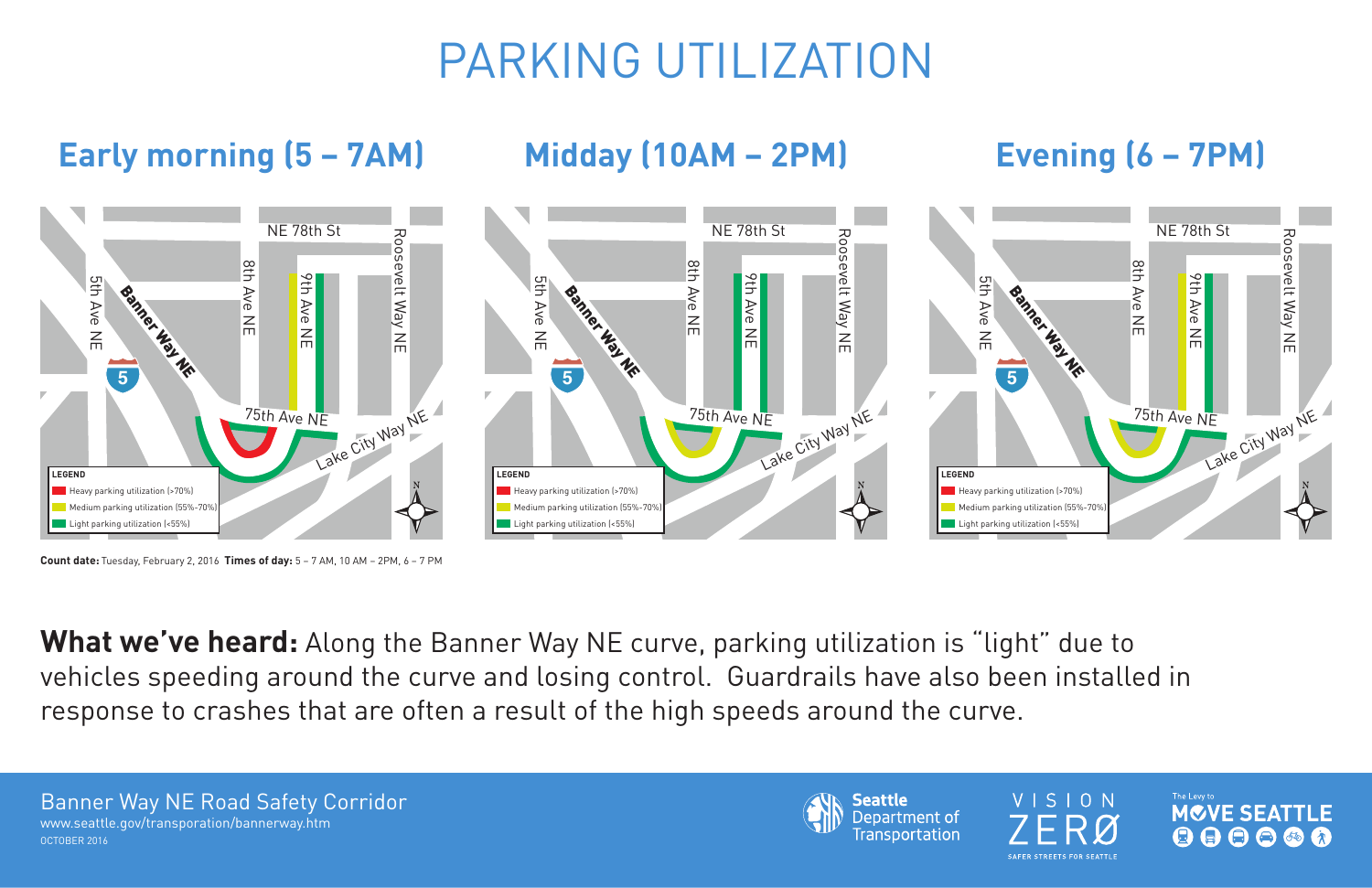# PARKING UTILIZATION



**Seattle** Department of **Transportation** 

VISION 7FRØ **SAFER STREETS FOR SEATTLE** 





### **Early morning (5 – 7AM) Midday (10AM – 2PM) Evening (6 – 7PM)**

What we've heard: Along the Banner Way NE curve, parking utilization is "light" due to vehicles speeding around the curve and losing control. Guardrails have also been installed in response to crashes that are often a result of the high speeds around the curve.



**Count date:** Tuesday, February 2, 2016 **Times of day:** 5 – 7 AM, 10 AM – 2PM, 6 – 7 PM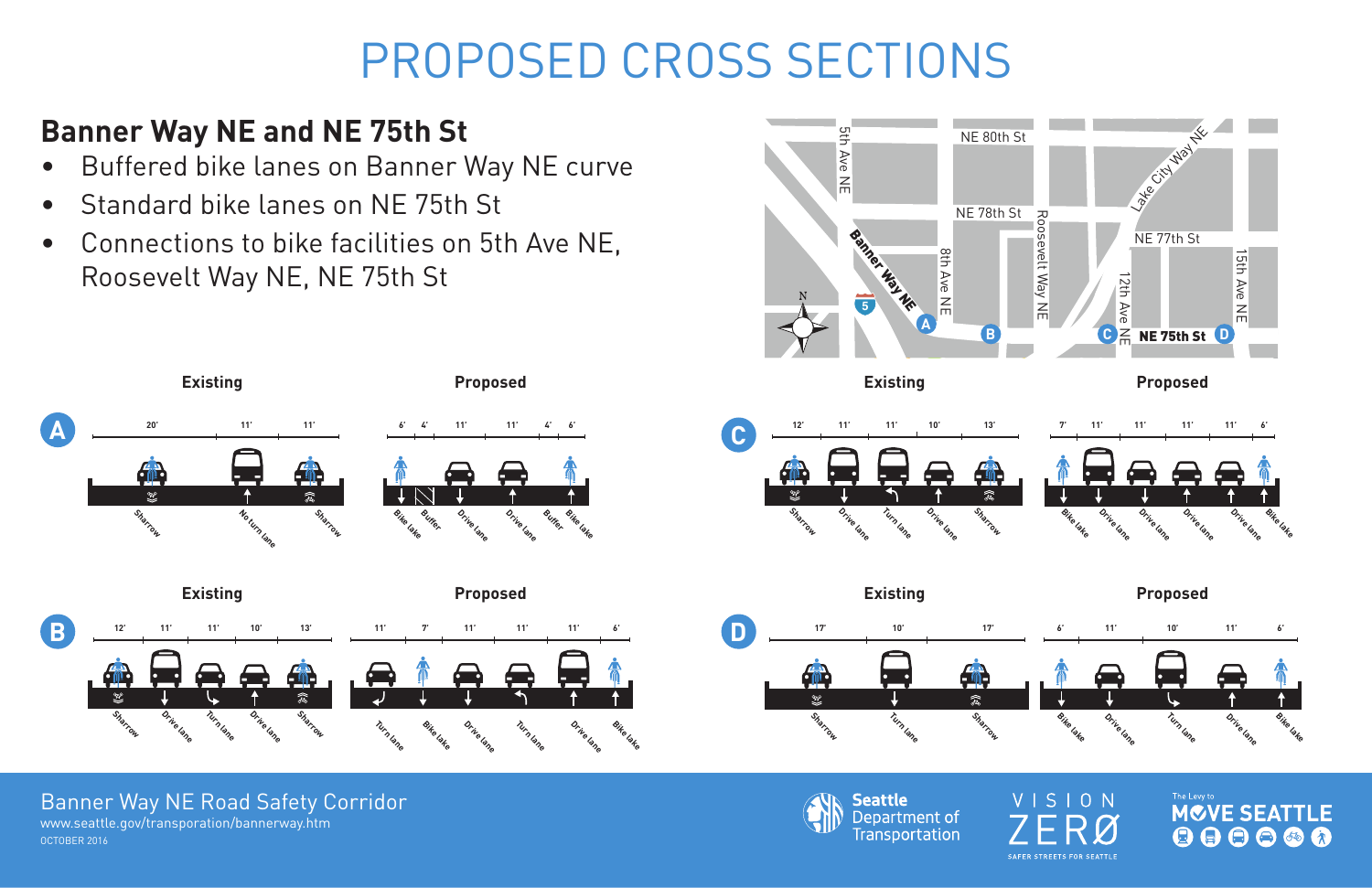#### Banner Way NE Road Safety Corridor

OCTOBER 2016 www.seattle.gov/transporation/bannerway.htm



# PROPOSED CROSS SECTIONS

### **Banner Way NE and NE 75th St**



- Buffered bike lanes on Banner Way NE curve
- Standard bike lanes on NE 75th St
- Connections to bike facilities on 5th Ave NE, Roosevelt Way NE, NE 75th St









**Seattle** Department of Transportation



VISION ERØ **SAFER STREETS FOR SEATTLE** 

The Levy to **MCVE SEATTLE**  $\begin{array}{c} \textcircled{\textcolor{red}{\bullet}} \textcircled{\textcolor{red}{\bullet}} \textcircled{\textcolor{red}{\bullet}} \textcircled{\textcolor{red}{\bullet}} \textcircled{\textcolor{red}{\bullet}} \end{array}$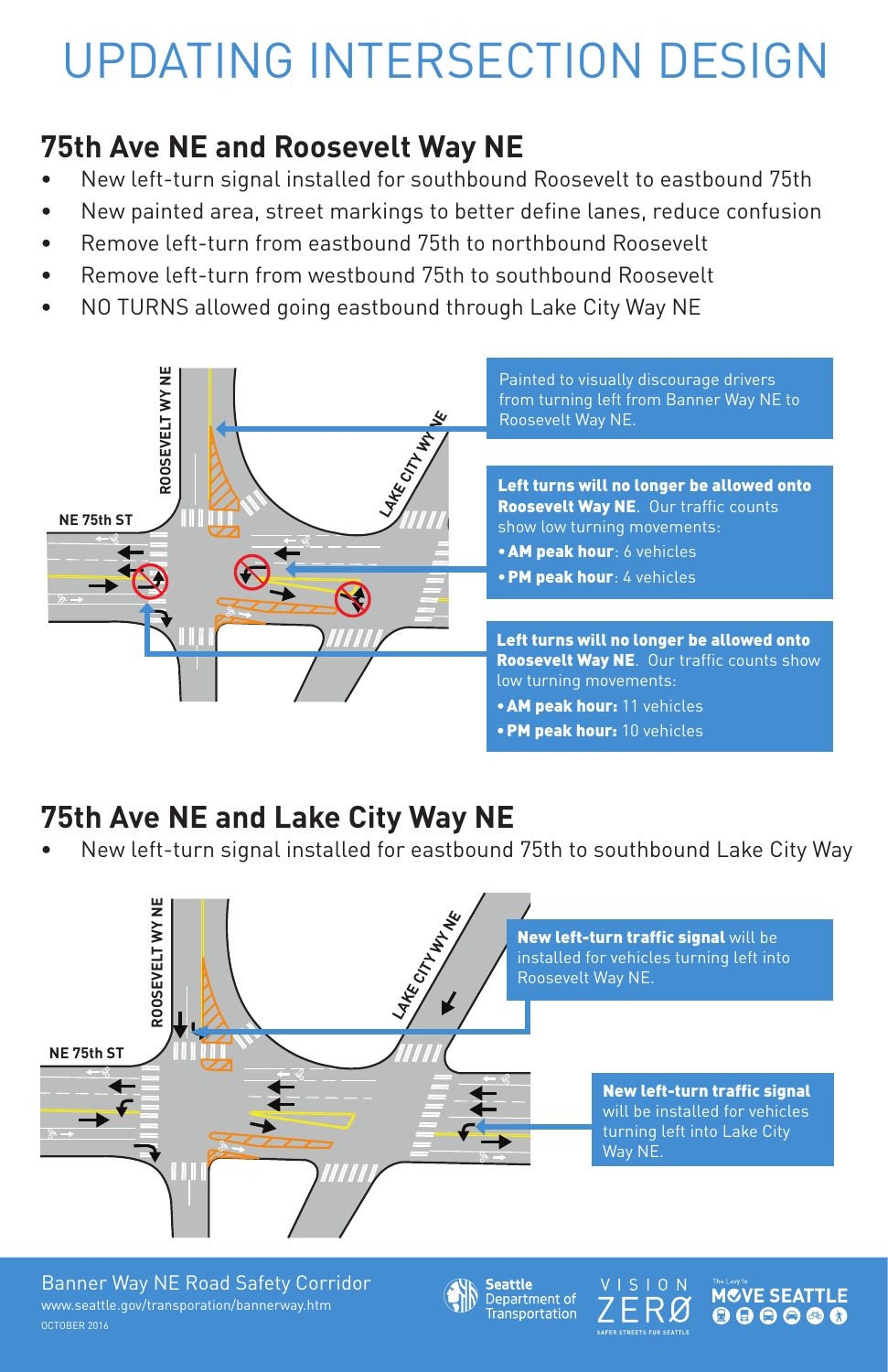



The Levy to **MCVE SEATTLE**  $\mathbf{O} \oplus \mathbf{O} \oplus \mathbf{O}$ 

**SAFER STREETS FOR SEATTLE** 

- New left-turn signal installed for southbound Roosevelt to eastbound 75th
- New painted area, street markings to better define lanes, reduce confusion
- Remove left-turn from eastbound 75th to northbound Roosevelt
- Remove left-turn from westbound 75th to southbound Roosevelt
- NO TURNS allowed going eastbound through Lake City Way NE

## UPDATING INTERSECTION DESIGN

#### **75th Ave NE and Roosevelt Way NE**

New left-turn traffic signal will be installed for vehicles turning left into Roosevelt Way NE.

#### **75th Ave NE and Lake City Way NE**

New left-turn signal installed for eastbound 75th to southbound Lake City Way

Roosevelt Way NE. Our traffic counts show low turning movements: **• AM peak hour**: 6 vehicles •PM peak hour: 4 vehicles









New left-turn traffic signal will be installed for vehicles turning left into Lake City Way NE.

Left turns will no longer be allowed onto Roosevelt Way NE. Our traffic counts show low turning movements: •AM peak hour: 11 vehicles •PM peak hour: 10 vehicles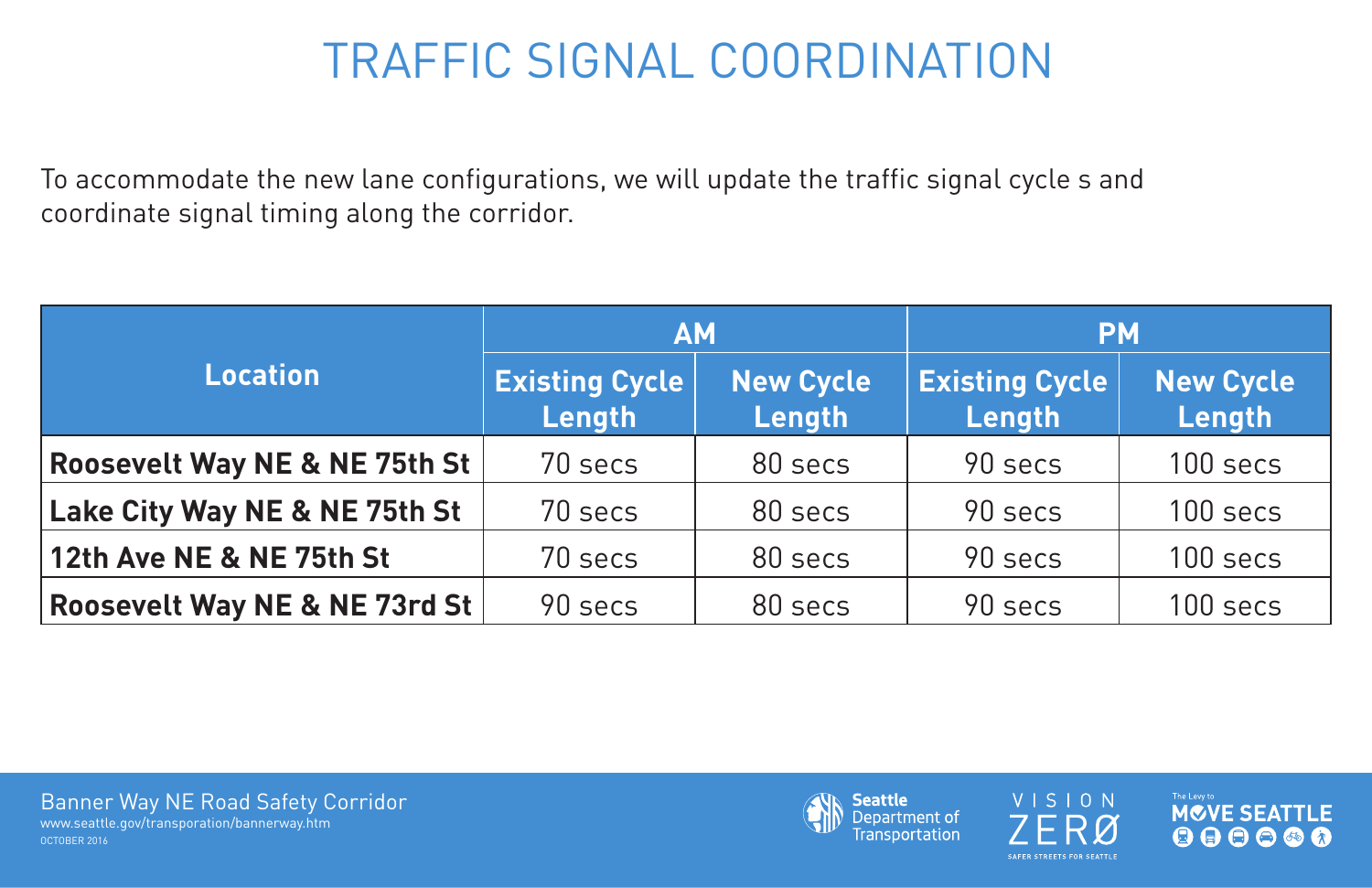## TRAFFIC SIGNAL COORDINATION

To accommodate the new lane configurations, we will update the traffic signal cycle s and coordinate signal timing along the corridor.

| AM                              |                            | <b>PM</b>                       |                            |
|---------------------------------|----------------------------|---------------------------------|----------------------------|
| <b>Existing Cycle</b><br>Length | <b>New Cycle</b><br>Length | <b>Existing Cycle</b><br>Length | <b>New Cycle</b><br>Length |
| 70 secs                         | 80 secs                    | 90 secs                         | 100 secs                   |
| 70 secs                         | 80 secs                    | 90 secs                         | 100 secs                   |
| 70 secs                         | 80 secs                    | 90 secs                         | 100 secs                   |
| 90 secs                         | 80 secs                    | 90 secs                         | 100 secs                   |



**Seattle** Department of **Transportation** 





The Levy to MCVE SEATTLE  $\begin{array}{c} \textcircled{\textcolor{red}{\bullet}} \textcircled{\textcolor{red}{\bullet}} \textcircled{\textcolor{red}{\bullet}} \textcircled{\textcolor{red}{\bullet}} \textcircled{\textcolor{red}{\bullet}} \end{array}$